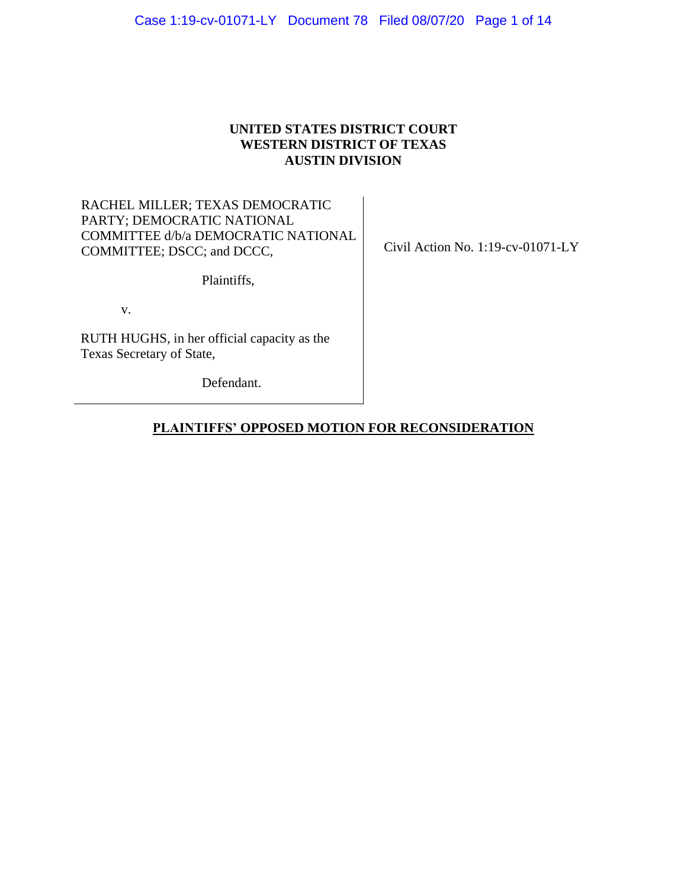# **UNITED STATES DISTRICT COURT WESTERN DISTRICT OF TEXAS AUSTIN DIVISION**

RACHEL MILLER; TEXAS DEMOCRATIC PARTY; DEMOCRATIC NATIONAL COMMITTEE d/b/a DEMOCRATIC NATIONAL COMMITTEE; DSCC; and DCCC,

Plaintiffs,

v.

RUTH HUGHS, in her official capacity as the Texas Secretary of State,

Civil Action No. 1:19-cv-01071-LY

Defendant.

# **PLAINTIFFS' OPPOSED MOTION FOR RECONSIDERATION**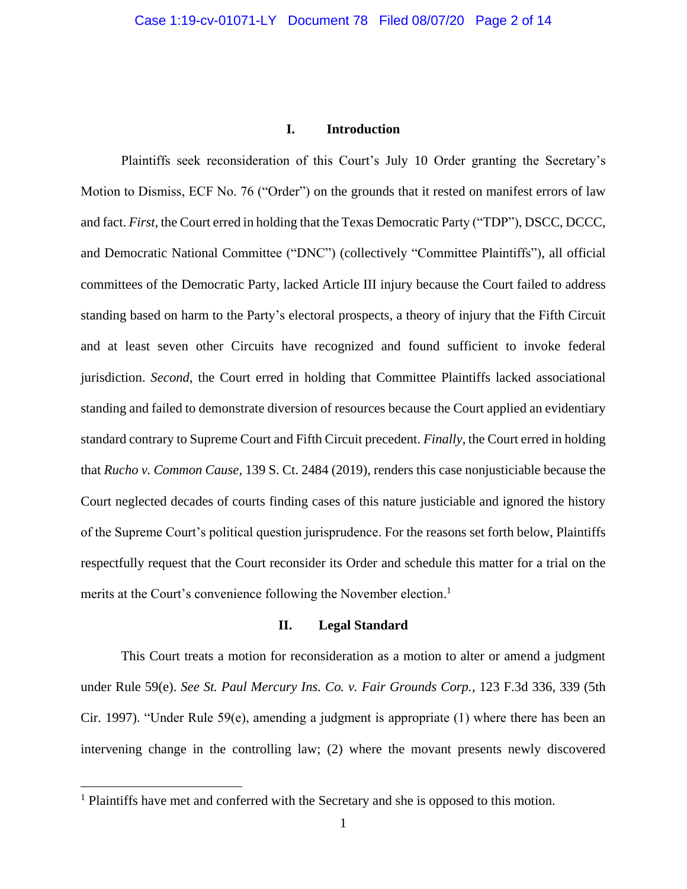#### **I. Introduction**

Plaintiffs seek reconsideration of this Court's July 10 Order granting the Secretary's Motion to Dismiss, ECF No. 76 ("Order") on the grounds that it rested on manifest errors of law and fact. *First*, the Court erred in holding that the Texas Democratic Party ("TDP"), DSCC, DCCC, and Democratic National Committee ("DNC") (collectively "Committee Plaintiffs"), all official committees of the Democratic Party, lacked Article III injury because the Court failed to address standing based on harm to the Party's electoral prospects, a theory of injury that the Fifth Circuit and at least seven other Circuits have recognized and found sufficient to invoke federal jurisdiction. *Second*, the Court erred in holding that Committee Plaintiffs lacked associational standing and failed to demonstrate diversion of resources because the Court applied an evidentiary standard contrary to Supreme Court and Fifth Circuit precedent. *Finally*, the Court erred in holding that *Rucho v. Common Cause*, 139 S. Ct. 2484 (2019), renders this case nonjusticiable because the Court neglected decades of courts finding cases of this nature justiciable and ignored the history of the Supreme Court's political question jurisprudence. For the reasons set forth below, Plaintiffs respectfully request that the Court reconsider its Order and schedule this matter for a trial on the merits at the Court's convenience following the November election.<sup>1</sup>

#### **II. Legal Standard**

This Court treats a motion for reconsideration as a motion to alter or amend a judgment under Rule 59(e). *See St. Paul Mercury Ins. Co. v. Fair Grounds Corp.*, 123 F.3d 336, 339 (5th Cir. 1997). "Under Rule 59(e), amending a judgment is appropriate (1) where there has been an intervening change in the controlling law; (2) where the movant presents newly discovered

 $\overline{a}$ 

<sup>&</sup>lt;sup>1</sup> Plaintiffs have met and conferred with the Secretary and she is opposed to this motion.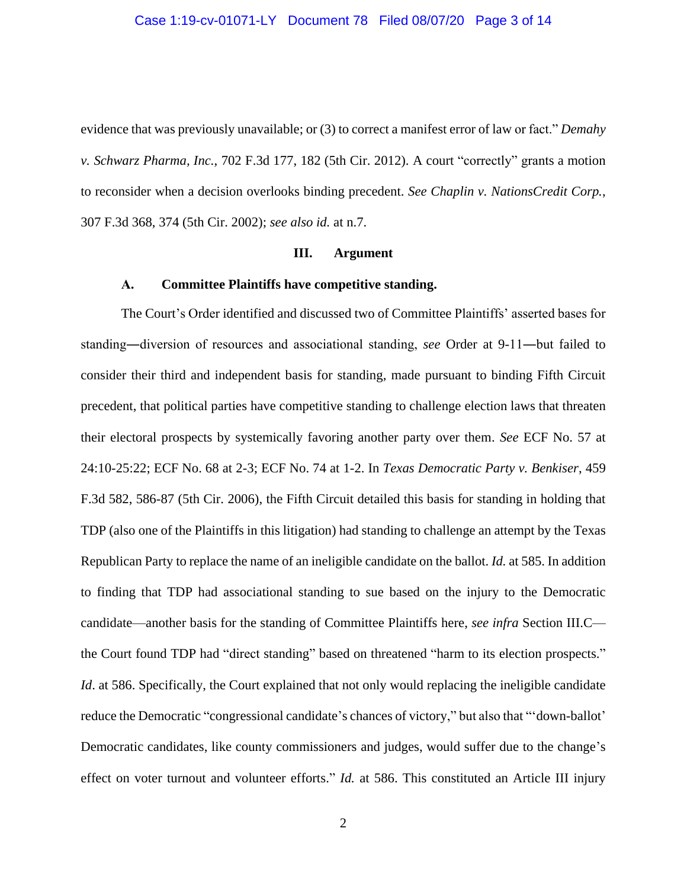evidence that was previously unavailable; or (3) to correct a manifest error of law or fact." *Demahy v. Schwarz Pharma, Inc.*, 702 F.3d 177, 182 (5th Cir. 2012). A court "correctly" grants a motion to reconsider when a decision overlooks binding precedent. *See Chaplin v. NationsCredit Corp.*, 307 F.3d 368, 374 (5th Cir. 2002); *see also id.* at n.7.

## **III. Argument**

#### **A. Committee Plaintiffs have competitive standing.**

The Court's Order identified and discussed two of Committee Plaintiffs' asserted bases for standing―diversion of resources and associational standing, *see* Order at 9-11―but failed to consider their third and independent basis for standing, made pursuant to binding Fifth Circuit precedent, that political parties have competitive standing to challenge election laws that threaten their electoral prospects by systemically favoring another party over them. *See* ECF No. 57 at 24:10-25:22; ECF No. 68 at 2-3; ECF No. 74 at 1-2. In *Texas Democratic Party v. Benkiser*, 459 F.3d 582, 586-87 (5th Cir. 2006), the Fifth Circuit detailed this basis for standing in holding that TDP (also one of the Plaintiffs in this litigation) had standing to challenge an attempt by the Texas Republican Party to replace the name of an ineligible candidate on the ballot. *Id.* at 585. In addition to finding that TDP had associational standing to sue based on the injury to the Democratic candidate—another basis for the standing of Committee Plaintiffs here, *see infra* Section III.C the Court found TDP had "direct standing" based on threatened "harm to its election prospects." *Id.* at 586. Specifically, the Court explained that not only would replacing the ineligible candidate reduce the Democratic "congressional candidate's chances of victory," but also that "'down-ballot' Democratic candidates, like county commissioners and judges, would suffer due to the change's effect on voter turnout and volunteer efforts." *Id.* at 586. This constituted an Article III injury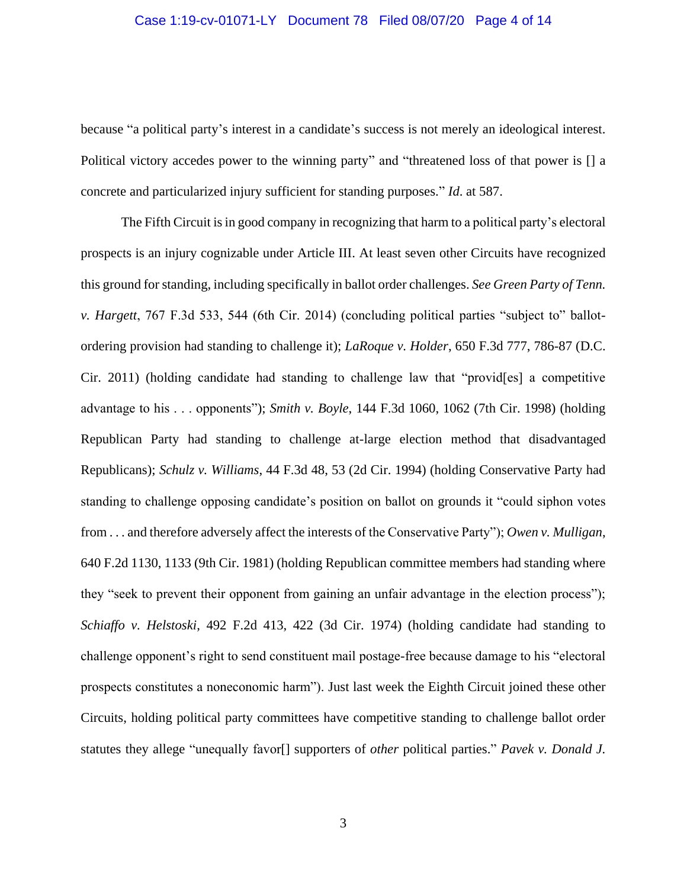## Case 1:19-cv-01071-LY Document 78 Filed 08/07/20 Page 4 of 14

because "a political party's interest in a candidate's success is not merely an ideological interest. Political victory accedes power to the winning party" and "threatened loss of that power is [] a concrete and particularized injury sufficient for standing purposes." *Id*. at 587.

The Fifth Circuit is in good company in recognizing that harm to a political party's electoral prospects is an injury cognizable under Article III. At least seven other Circuits have recognized this ground for standing, including specifically in ballot order challenges. *See Green Party of Tenn. v. Hargett*, 767 F.3d 533, 544 (6th Cir. 2014) (concluding political parties "subject to" ballotordering provision had standing to challenge it); *LaRoque v. Holder*, 650 F.3d 777, 786-87 (D.C. Cir. 2011) (holding candidate had standing to challenge law that "provid[es] a competitive advantage to his . . . opponents"); *Smith v. Boyle*, 144 F.3d 1060, 1062 (7th Cir. 1998) (holding Republican Party had standing to challenge at-large election method that disadvantaged Republicans); *Schulz v. Williams*, 44 F.3d 48, 53 (2d Cir. 1994) (holding Conservative Party had standing to challenge opposing candidate's position on ballot on grounds it "could siphon votes from . . . and therefore adversely affect the interests of the Conservative Party"); *Owen v. Mulligan*, 640 F.2d 1130, 1133 (9th Cir. 1981) (holding Republican committee members had standing where they "seek to prevent their opponent from gaining an unfair advantage in the election process"); *Schiaffo v. Helstoski*, 492 F.2d 413, 422 (3d Cir. 1974) (holding candidate had standing to challenge opponent's right to send constituent mail postage-free because damage to his "electoral prospects constitutes a noneconomic harm"). Just last week the Eighth Circuit joined these other Circuits, holding political party committees have competitive standing to challenge ballot order statutes they allege "unequally favor[] supporters of *other* political parties." *Pavek v. Donald J.*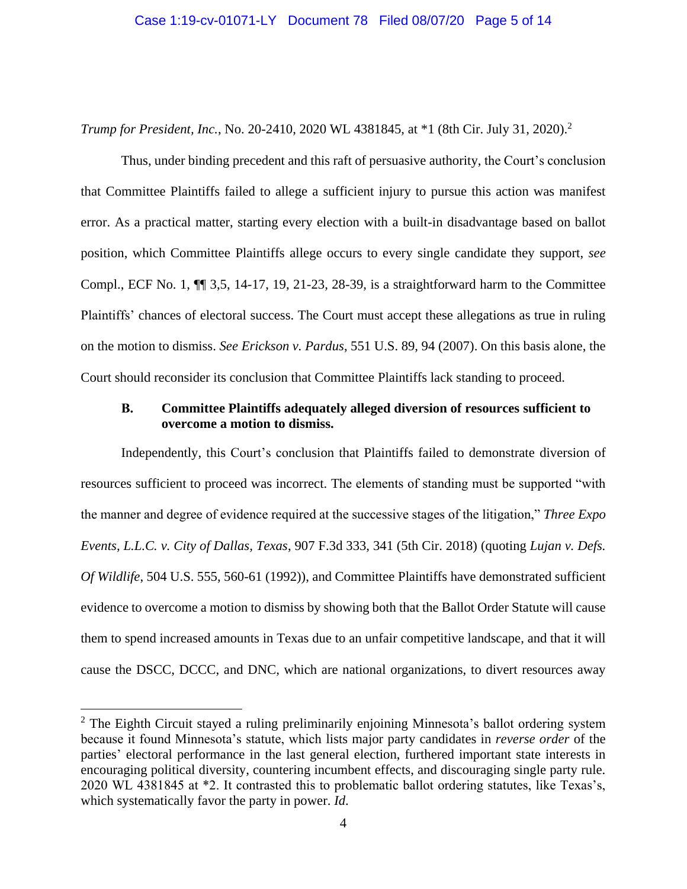*Trump for President, Inc.*, No. 20-2410, 2020 WL 4381845, at \*1 (8th Cir. July 31, 2020). 2

Thus, under binding precedent and this raft of persuasive authority, the Court's conclusion that Committee Plaintiffs failed to allege a sufficient injury to pursue this action was manifest error. As a practical matter, starting every election with a built-in disadvantage based on ballot position, which Committee Plaintiffs allege occurs to every single candidate they support, *see*  Compl., ECF No. 1, ¶¶ 3,5, 14-17, 19, 21-23, 28-39, is a straightforward harm to the Committee Plaintiffs' chances of electoral success. The Court must accept these allegations as true in ruling on the motion to dismiss. *See Erickson v. Pardus*, 551 U.S. 89, 94 (2007). On this basis alone, the Court should reconsider its conclusion that Committee Plaintiffs lack standing to proceed.

# **B. Committee Plaintiffs adequately alleged diversion of resources sufficient to overcome a motion to dismiss.**

Independently, this Court's conclusion that Plaintiffs failed to demonstrate diversion of resources sufficient to proceed was incorrect. The elements of standing must be supported "with the manner and degree of evidence required at the successive stages of the litigation," *Three Expo Events, L.L.C. v. City of Dallas, Texas*, 907 F.3d 333, 341 (5th Cir. 2018) (quoting *Lujan v. Defs. Of Wildlife*, 504 U.S. 555, 560-61 (1992)), and Committee Plaintiffs have demonstrated sufficient evidence to overcome a motion to dismiss by showing both that the Ballot Order Statute will cause them to spend increased amounts in Texas due to an unfair competitive landscape, and that it will cause the DSCC, DCCC, and DNC, which are national organizations, to divert resources away

 $\overline{a}$ 

 $2$  The Eighth Circuit stayed a ruling preliminarily enjoining Minnesota's ballot ordering system because it found Minnesota's statute, which lists major party candidates in *reverse order* of the parties' electoral performance in the last general election, furthered important state interests in encouraging political diversity, countering incumbent effects, and discouraging single party rule. 2020 WL 4381845 at \*2. It contrasted this to problematic ballot ordering statutes, like Texas's, which systematically favor the party in power. *Id*.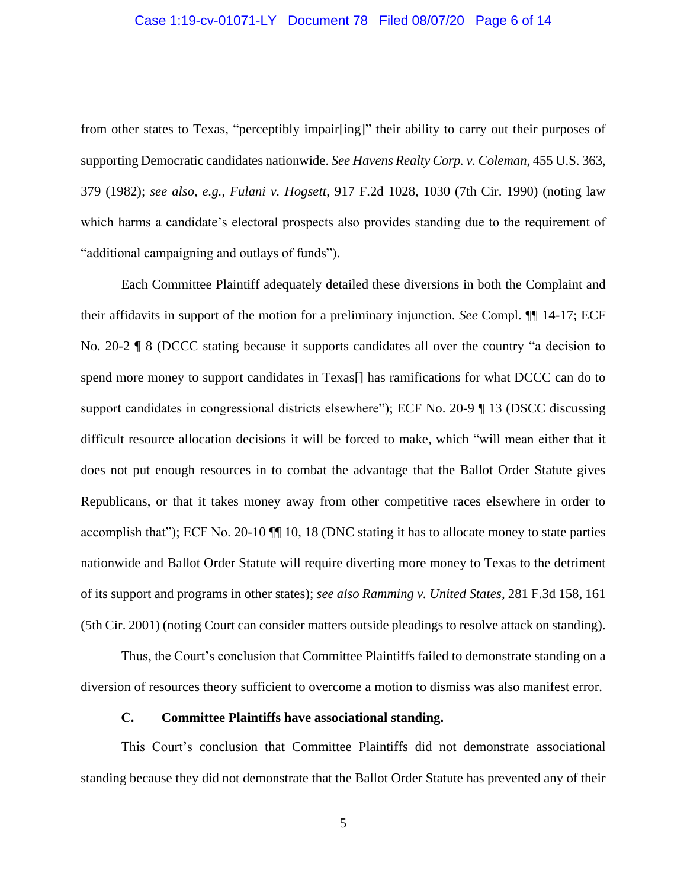## Case 1:19-cv-01071-LY Document 78 Filed 08/07/20 Page 6 of 14

from other states to Texas, "perceptibly impair[ing]" their ability to carry out their purposes of supporting Democratic candidates nationwide. *See Havens Realty Corp. v. Coleman*, 455 U.S. 363, 379 (1982); *see also*, *e.g.*, *Fulani v. Hogsett*, 917 F.2d 1028, 1030 (7th Cir. 1990) (noting law which harms a candidate's electoral prospects also provides standing due to the requirement of "additional campaigning and outlays of funds").

Each Committee Plaintiff adequately detailed these diversions in both the Complaint and their affidavits in support of the motion for a preliminary injunction. *See* Compl. ¶¶ 14-17; ECF No. 20-2 ¶ 8 (DCCC stating because it supports candidates all over the country "a decision to spend more money to support candidates in Texas<sup>[]</sup> has ramifications for what DCCC can do to support candidates in congressional districts elsewhere"); ECF No. 20-9 ¶ 13 (DSCC discussing difficult resource allocation decisions it will be forced to make, which "will mean either that it does not put enough resources in to combat the advantage that the Ballot Order Statute gives Republicans, or that it takes money away from other competitive races elsewhere in order to accomplish that"); ECF No. 20-10 ¶¶ 10, 18 (DNC stating it has to allocate money to state parties nationwide and Ballot Order Statute will require diverting more money to Texas to the detriment of its support and programs in other states); *see also Ramming v. United States*, 281 F.3d 158, 161 (5th Cir. 2001) (noting Court can consider matters outside pleadings to resolve attack on standing).

Thus, the Court's conclusion that Committee Plaintiffs failed to demonstrate standing on a diversion of resources theory sufficient to overcome a motion to dismiss was also manifest error.

## **C. Committee Plaintiffs have associational standing.**

This Court's conclusion that Committee Plaintiffs did not demonstrate associational standing because they did not demonstrate that the Ballot Order Statute has prevented any of their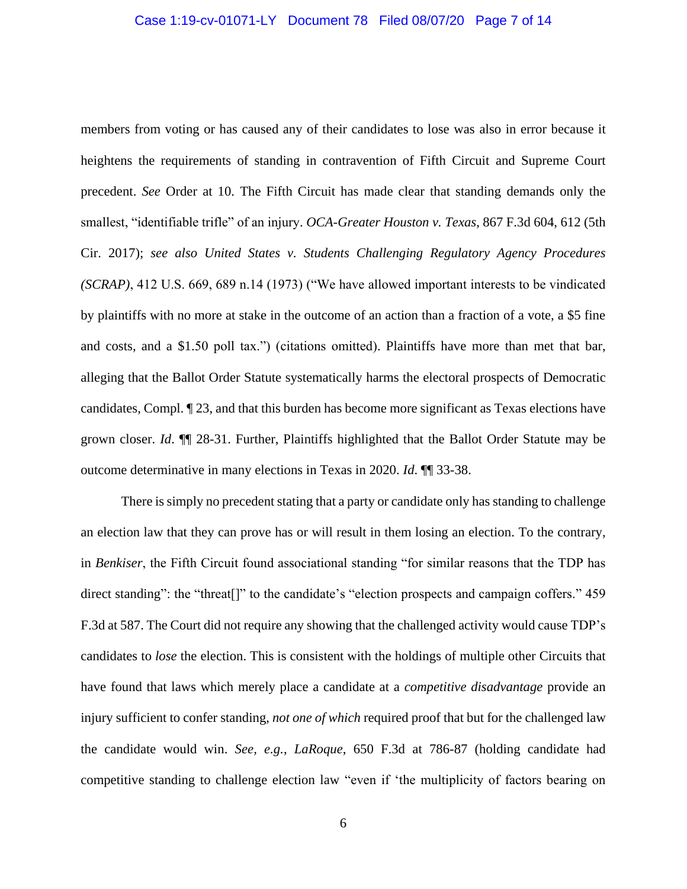## Case 1:19-cv-01071-LY Document 78 Filed 08/07/20 Page 7 of 14

members from voting or has caused any of their candidates to lose was also in error because it heightens the requirements of standing in contravention of Fifth Circuit and Supreme Court precedent. *See* Order at 10. The Fifth Circuit has made clear that standing demands only the smallest, "identifiable trifle" of an injury. *OCA-Greater Houston v. Texas*, 867 F.3d 604, 612 (5th Cir. 2017); *see also United States v. Students Challenging Regulatory Agency Procedures (SCRAP)*, 412 U.S. 669, 689 n.14 (1973) ("We have allowed important interests to be vindicated by plaintiffs with no more at stake in the outcome of an action than a fraction of a vote, a \$5 fine and costs, and a \$1.50 poll tax.") (citations omitted). Plaintiffs have more than met that bar, alleging that the Ballot Order Statute systematically harms the electoral prospects of Democratic candidates, Compl. ¶ 23, and that this burden has become more significant as Texas elections have grown closer. *Id*. ¶¶ 28-31. Further, Plaintiffs highlighted that the Ballot Order Statute may be outcome determinative in many elections in Texas in 2020. *Id*. ¶¶ 33-38.

There is simply no precedent stating that a party or candidate only has standing to challenge an election law that they can prove has or will result in them losing an election. To the contrary, in *Benkiser*, the Fifth Circuit found associational standing "for similar reasons that the TDP has direct standing": the "threat<sup>[]</sup>" to the candidate's "election prospects and campaign coffers." 459 F.3d at 587. The Court did not require any showing that the challenged activity would cause TDP's candidates to *lose* the election. This is consistent with the holdings of multiple other Circuits that have found that laws which merely place a candidate at a *competitive disadvantage* provide an injury sufficient to confer standing, *not one of which* required proof that but for the challenged law the candidate would win. *See, e.g.*, *LaRoque*, 650 F.3d at 786-87 (holding candidate had competitive standing to challenge election law "even if 'the multiplicity of factors bearing on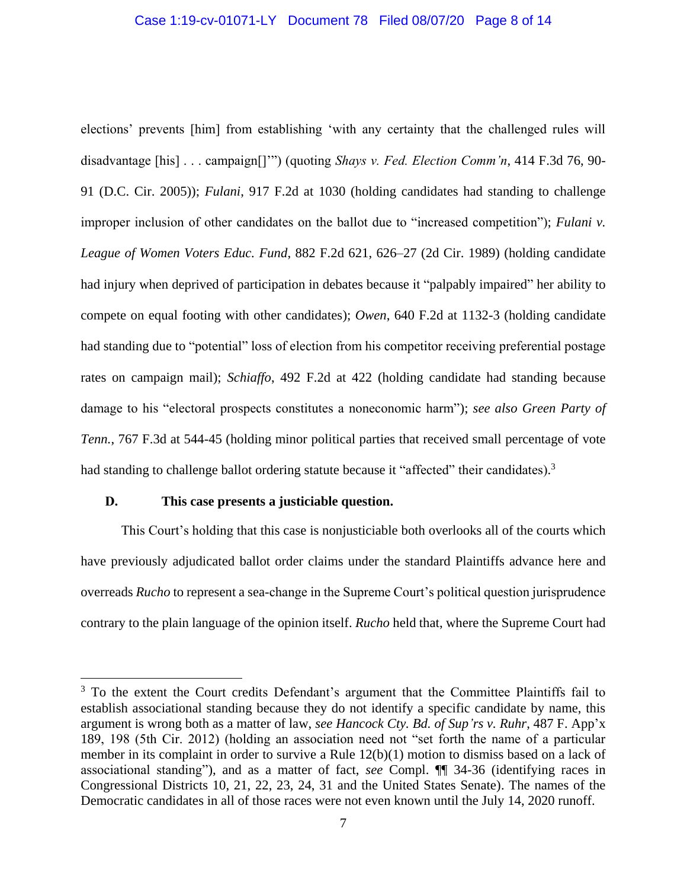elections' prevents [him] from establishing 'with any certainty that the challenged rules will disadvantage [his] . . . campaign[]'") (quoting *Shays v. Fed. Election Comm'n*, 414 F.3d 76, 90- 91 (D.C. Cir. 2005)); *Fulani*, 917 F.2d at 1030 (holding candidates had standing to challenge improper inclusion of other candidates on the ballot due to "increased competition"); *Fulani v. League of Women Voters Educ. Fund*, 882 F.2d 621, 626–27 (2d Cir. 1989) (holding candidate had injury when deprived of participation in debates because it "palpably impaired" her ability to compete on equal footing with other candidates); *Owen*, 640 F.2d at 1132-3 (holding candidate had standing due to "potential" loss of election from his competitor receiving preferential postage rates on campaign mail); *Schiaffo*, 492 F.2d at 422 (holding candidate had standing because damage to his "electoral prospects constitutes a noneconomic harm"); *see also Green Party of Tenn.*, 767 F.3d at 544-45 (holding minor political parties that received small percentage of vote had standing to challenge ballot ordering statute because it "affected" their candidates).<sup>3</sup>

## **D. This case presents a justiciable question.**

 $\overline{a}$ 

This Court's holding that this case is nonjusticiable both overlooks all of the courts which have previously adjudicated ballot order claims under the standard Plaintiffs advance here and overreads *Rucho* to represent a sea-change in the Supreme Court's political question jurisprudence contrary to the plain language of the opinion itself. *Rucho* held that, where the Supreme Court had

<sup>&</sup>lt;sup>3</sup> To the extent the Court credits Defendant's argument that the Committee Plaintiffs fail to establish associational standing because they do not identify a specific candidate by name, this argument is wrong both as a matter of law, *see Hancock Cty. Bd. of Sup'rs v. Ruhr*, 487 F. App'x 189, 198 (5th Cir. 2012) (holding an association need not "set forth the name of a particular member in its complaint in order to survive a Rule 12(b)(1) motion to dismiss based on a lack of associational standing"), and as a matter of fact, *see* Compl. ¶¶ 34-36 (identifying races in Congressional Districts 10, 21, 22, 23, 24, 31 and the United States Senate). The names of the Democratic candidates in all of those races were not even known until the July 14, 2020 runoff.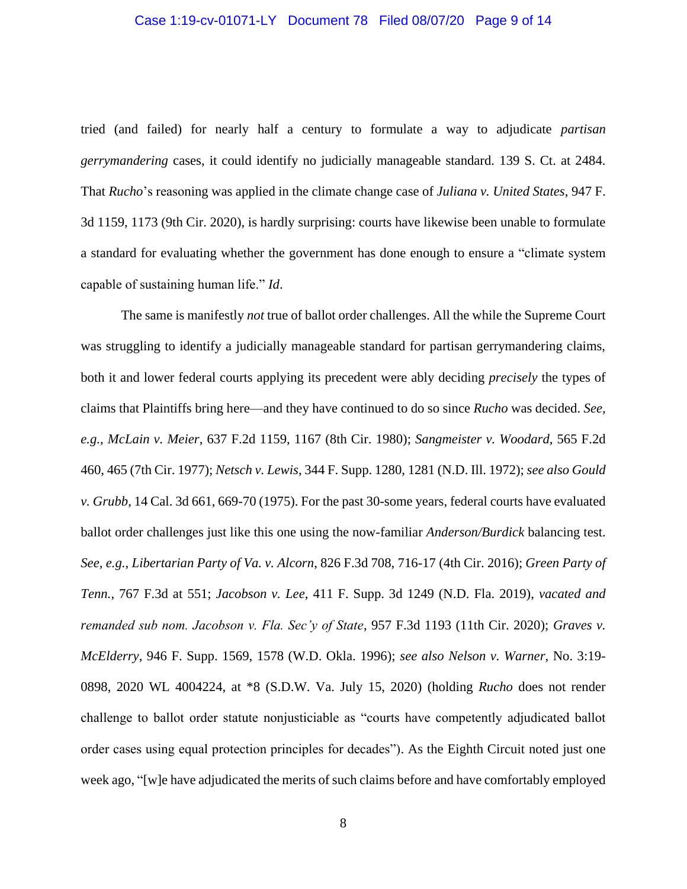#### Case 1:19-cv-01071-LY Document 78 Filed 08/07/20 Page 9 of 14

tried (and failed) for nearly half a century to formulate a way to adjudicate *partisan gerrymandering* cases, it could identify no judicially manageable standard. 139 S. Ct. at 2484. That *Rucho*'s reasoning was applied in the climate change case of *Juliana v. United States*, 947 F. 3d 1159, 1173 (9th Cir. 2020), is hardly surprising: courts have likewise been unable to formulate a standard for evaluating whether the government has done enough to ensure a "climate system capable of sustaining human life." *Id*.

The same is manifestly *not* true of ballot order challenges. All the while the Supreme Court was struggling to identify a judicially manageable standard for partisan gerrymandering claims, both it and lower federal courts applying its precedent were ably deciding *precisely* the types of claims that Plaintiffs bring here—and they have continued to do so since *Rucho* was decided. *See, e.g.*, *McLain v. Meier*, 637 F.2d 1159, 1167 (8th Cir. 1980); *Sangmeister v. Woodard*, 565 F.2d 460, 465 (7th Cir. 1977); *Netsch v. Lewis*, 344 F. Supp. 1280, 1281 (N.D. Ill. 1972); *see also Gould v. Grubb*, 14 Cal. 3d 661, 669-70 (1975). For the past 30-some years, federal courts have evaluated ballot order challenges just like this one using the now-familiar *Anderson/Burdick* balancing test. *See, e.g.*, *Libertarian Party of Va. v. Alcorn*, 826 F.3d 708, 716-17 (4th Cir. 2016); *Green Party of Tenn.*, 767 F.3d at 551; *Jacobson v. Lee*, 411 F. Supp. 3d 1249 (N.D. Fla. 2019), *vacated and remanded sub nom. Jacobson v. Fla. Sec'y of State*, 957 F.3d 1193 (11th Cir. 2020); *Graves v. McElderry*, 946 F. Supp. 1569, 1578 (W.D. Okla. 1996); *see also Nelson v. Warner*, No. 3:19- 0898, 2020 WL 4004224, at \*8 (S.D.W. Va. July 15, 2020) (holding *Rucho* does not render challenge to ballot order statute nonjusticiable as "courts have competently adjudicated ballot order cases using equal protection principles for decades"). As the Eighth Circuit noted just one week ago, "[w]e have adjudicated the merits of such claims before and have comfortably employed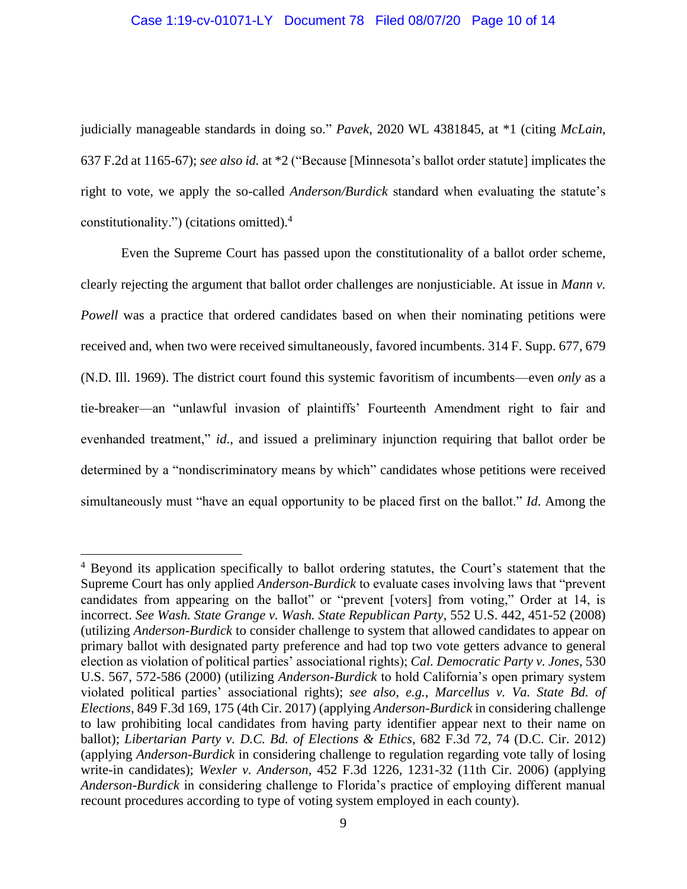#### Case 1:19-cv-01071-LY Document 78 Filed 08/07/20 Page 10 of 14

judicially manageable standards in doing so." *Pavek*, 2020 WL 4381845, at \*1 (citing *McLain*, 637 F.2d at 1165-67); *see also id.* at \*2 ("Because [Minnesota's ballot order statute] implicates the right to vote, we apply the so-called *Anderson/Burdick* standard when evaluating the statute's constitutionality.") (citations omitted). 4

Even the Supreme Court has passed upon the constitutionality of a ballot order scheme, clearly rejecting the argument that ballot order challenges are nonjusticiable. At issue in *Mann v. Powell* was a practice that ordered candidates based on when their nominating petitions were received and, when two were received simultaneously, favored incumbents. 314 F. Supp. 677, 679 (N.D. Ill. 1969). The district court found this systemic favoritism of incumbents—even *only* as a tie-breaker—an "unlawful invasion of plaintiffs' Fourteenth Amendment right to fair and evenhanded treatment," *id*., and issued a preliminary injunction requiring that ballot order be determined by a "nondiscriminatory means by which" candidates whose petitions were received simultaneously must "have an equal opportunity to be placed first on the ballot." *Id*. Among the

 $\overline{a}$ 

<sup>&</sup>lt;sup>4</sup> Beyond its application specifically to ballot ordering statutes, the Court's statement that the Supreme Court has only applied *Anderson-Burdick* to evaluate cases involving laws that "prevent candidates from appearing on the ballot" or "prevent [voters] from voting," Order at 14, is incorrect. *See Wash. State Grange v. Wash. State Republican Party*, 552 U.S. 442, 451-52 (2008) (utilizing *Anderson-Burdick* to consider challenge to system that allowed candidates to appear on primary ballot with designated party preference and had top two vote getters advance to general election as violation of political parties' associational rights); *Cal. Democratic Party v. Jones*, 530 U.S. 567, 572-586 (2000) (utilizing *Anderson-Burdick* to hold California's open primary system violated political parties' associational rights); *see also, e.g.*, *Marcellus v. Va. State Bd. of Elections*, 849 F.3d 169, 175 (4th Cir. 2017) (applying *Anderson-Burdick* in considering challenge to law prohibiting local candidates from having party identifier appear next to their name on ballot); *Libertarian Party v. D.C. Bd. of Elections & Ethics*, 682 F.3d 72, 74 (D.C. Cir. 2012) (applying *Anderson-Burdick* in considering challenge to regulation regarding vote tally of losing write-in candidates); *Wexler v. Anderson*, 452 F.3d 1226, 1231-32 (11th Cir. 2006) (applying *Anderson-Burdick* in considering challenge to Florida's practice of employing different manual recount procedures according to type of voting system employed in each county).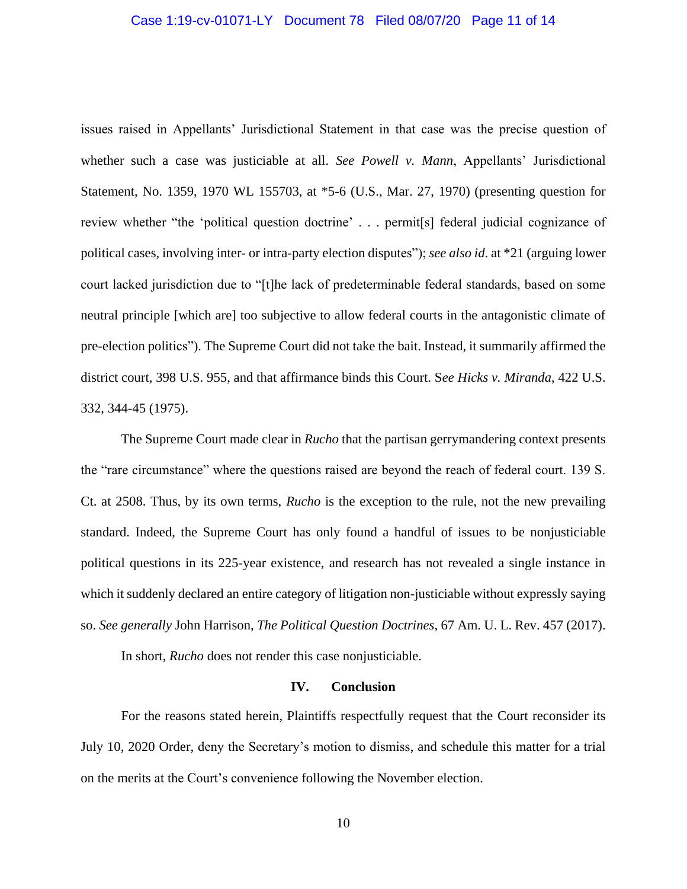#### Case 1:19-cv-01071-LY Document 78 Filed 08/07/20 Page 11 of 14

issues raised in Appellants' Jurisdictional Statement in that case was the precise question of whether such a case was justiciable at all. *See Powell v. Mann*, Appellants' Jurisdictional Statement, No. 1359, 1970 WL 155703, at \*5-6 (U.S., Mar. 27, 1970) (presenting question for review whether "the 'political question doctrine' . . . permit[s] federal judicial cognizance of political cases, involving inter- or intra-party election disputes"); *see also id*. at \*21 (arguing lower court lacked jurisdiction due to "[t]he lack of predeterminable federal standards, based on some neutral principle [which are] too subjective to allow federal courts in the antagonistic climate of pre-election politics"). The Supreme Court did not take the bait. Instead, it summarily affirmed the district court, 398 U.S. 955, and that affirmance binds this Court. S*ee Hicks v. Miranda*, 422 U.S. 332, 344-45 (1975).

The Supreme Court made clear in *Rucho* that the partisan gerrymandering context presents the "rare circumstance" where the questions raised are beyond the reach of federal court. 139 S. Ct. at 2508. Thus, by its own terms, *Rucho* is the exception to the rule, not the new prevailing standard. Indeed, the Supreme Court has only found a handful of issues to be nonjusticiable political questions in its 225-year existence, and research has not revealed a single instance in which it suddenly declared an entire category of litigation non-justiciable without expressly saying so. *See generally* John Harrison, *The Political Question Doctrines*, 67 Am. U. L. Rev. 457 (2017).

In short, *Rucho* does not render this case nonjusticiable.

## **IV. Conclusion**

For the reasons stated herein, Plaintiffs respectfully request that the Court reconsider its July 10, 2020 Order, deny the Secretary's motion to dismiss, and schedule this matter for a trial on the merits at the Court's convenience following the November election.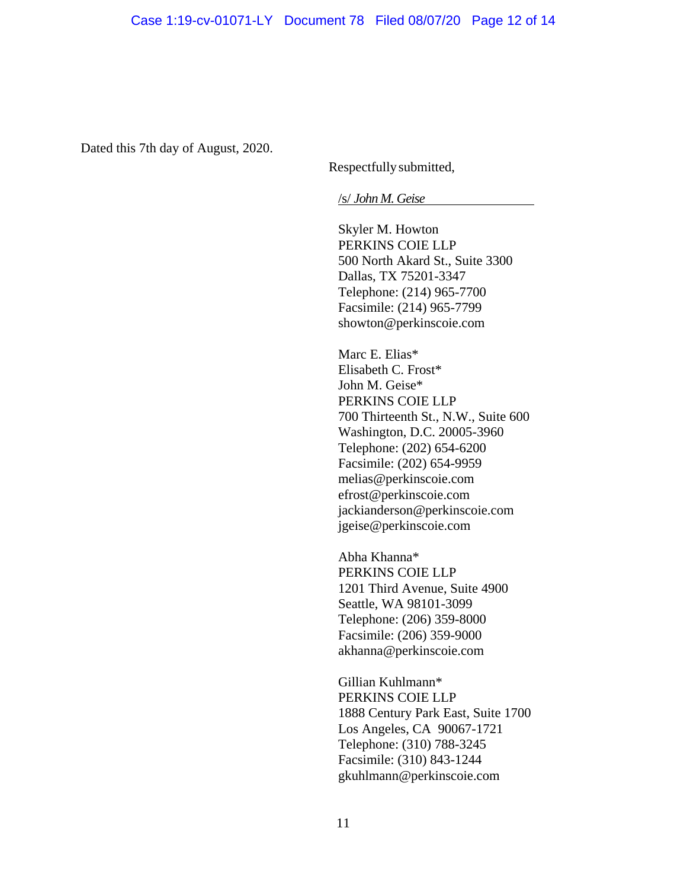Dated this 7th day of August, 2020.

Respectfully submitted,

/s/ *John M. Geise*

Skyler M. Howton PERKINS COIE LLP 500 North Akard St., Suite 3300 Dallas, TX 75201-3347 Telephone: (214) 965-7700 Facsimile: (214) 965-7799 showton@perkinscoie.com

Marc E. Elias\* Elisabeth C. Frost\* John M. Geise\* PERKINS COIE LLP 700 Thirteenth St., N.W., Suite 600 Washington, D.C. 20005-3960 Telephone: (202) 654-6200 Facsimile: (202) 654-9959 melias@perkinscoie.com efrost@perkinscoie.com jackianderson@perkinscoie.com jgeise@perkinscoie.com

Abha Khanna\* PERKINS COIE LLP 1201 Third Avenue, Suite 4900 Seattle, WA 98101-3099 Telephone: (206) 359-8000 Facsimile: (206) 359-9000 akhanna@perkinscoie.com

Gillian Kuhlmann\* PERKINS COIE LLP 1888 Century Park East, Suite 1700 Los Angeles, CA 90067-1721 Telephone: (310) 788-3245 Facsimile: (310) 843-1244 gkuhlmann@perkinscoie.com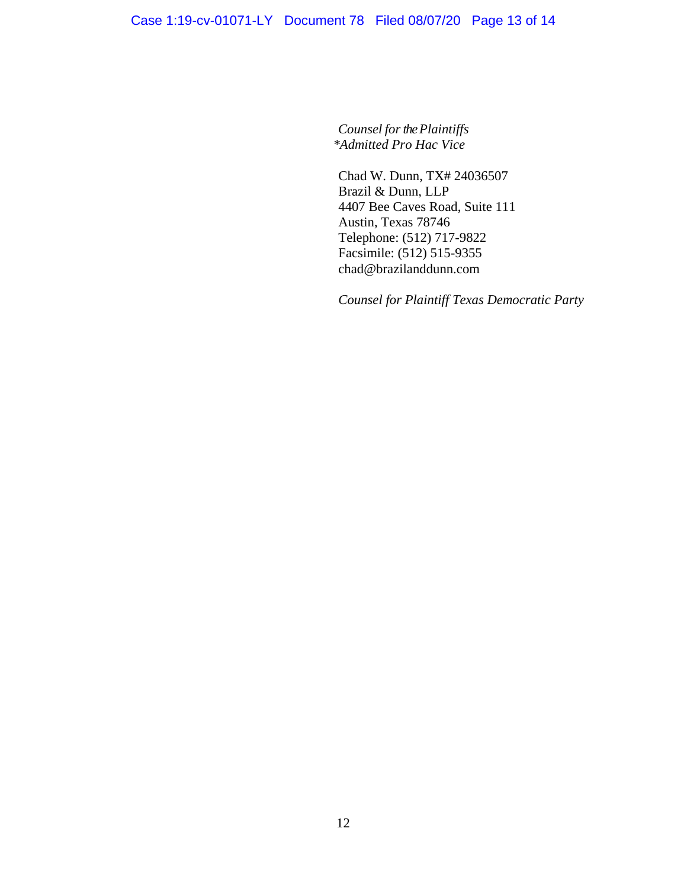*Counsel for the Plaintiffs \*Admitted Pro Hac Vice*

Chad W. Dunn, TX# 24036507 Brazil & Dunn, LLP 4407 Bee Caves Road, Suite 111 Austin, Texas 78746 Telephone: (512) 717-9822 Facsimile: (512) 515-9355 chad@brazilanddunn.com

*Counsel for Plaintiff Texas Democratic Party*